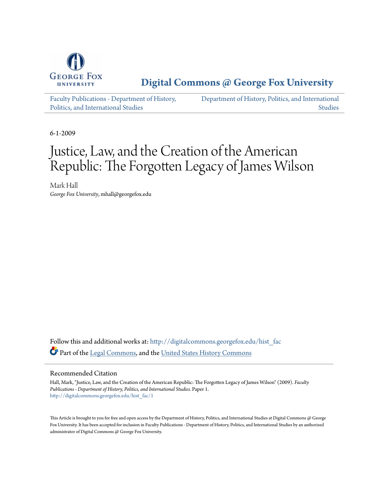

## **[Digital Commons @ George Fox University](http://digitalcommons.georgefox.edu?utm_source=digitalcommons.georgefox.edu%2Fhist_fac%2F1&utm_medium=PDF&utm_campaign=PDFCoverPages)**

[Faculty Publications - Department of History,](http://digitalcommons.georgefox.edu/hist_fac?utm_source=digitalcommons.georgefox.edu%2Fhist_fac%2F1&utm_medium=PDF&utm_campaign=PDFCoverPages) [Politics, and International Studies](http://digitalcommons.georgefox.edu/hist_fac?utm_source=digitalcommons.georgefox.edu%2Fhist_fac%2F1&utm_medium=PDF&utm_campaign=PDFCoverPages)

[Department of History, Politics, and International](http://digitalcommons.georgefox.edu/hist?utm_source=digitalcommons.georgefox.edu%2Fhist_fac%2F1&utm_medium=PDF&utm_campaign=PDFCoverPages) [Studies](http://digitalcommons.georgefox.edu/hist?utm_source=digitalcommons.georgefox.edu%2Fhist_fac%2F1&utm_medium=PDF&utm_campaign=PDFCoverPages)

6-1-2009

# Justice, Law, and the Creation of the American Republic: The Forgotten Legacy of James Wilson

Mark Hall *George Fox University*, mhall@georgefox.edu

Follow this and additional works at: [http://digitalcommons.georgefox.edu/hist\\_fac](http://digitalcommons.georgefox.edu/hist_fac?utm_source=digitalcommons.georgefox.edu%2Fhist_fac%2F1&utm_medium=PDF&utm_campaign=PDFCoverPages) Part of the [Legal Commons](http://network.bepress.com/hgg/discipline/502?utm_source=digitalcommons.georgefox.edu%2Fhist_fac%2F1&utm_medium=PDF&utm_campaign=PDFCoverPages), and the [United States History Commons](http://network.bepress.com/hgg/discipline/495?utm_source=digitalcommons.georgefox.edu%2Fhist_fac%2F1&utm_medium=PDF&utm_campaign=PDFCoverPages)

#### Recommended Citation

Hall, Mark, "Justice, Law, and the Creation of the American Republic: The Forgotten Legacy of James Wilson" (2009). *Faculty Publications - Department of History, Politics, and International Studies.* Paper 1. [http://digitalcommons.georgefox.edu/hist\\_fac/1](http://digitalcommons.georgefox.edu/hist_fac/1?utm_source=digitalcommons.georgefox.edu%2Fhist_fac%2F1&utm_medium=PDF&utm_campaign=PDFCoverPages)

This Article is brought to you for free and open access by the Department of History, Politics, and International Studies at Digital Commons @ George Fox University. It has been accepted for inclusion in Faculty Publications - Department of History, Politics, and International Studies by an authorized administrator of Digital Commons @ George Fox University.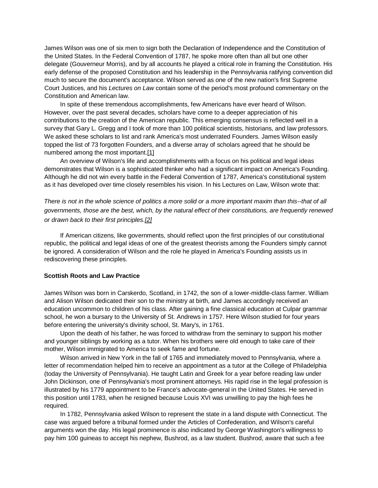James Wilson was one of six men to sign both the Declaration of Independence and the Constitution of the United States. In the Federal Convention of 1787, he spoke more often than all but one other delegate (Gouverneur Morris), and by all accounts he played a critical role in framing the Constitution. His early defense of the proposed Constitution and his leadership in the Pennsylvania ratifying convention did much to secure the document's acceptance. Wilson served as one of the new nation's first Supreme Court Justices, and his *Lectures on Law* contain some of the period's most profound commentary on the Constitution and American law.

In spite of these tremendous accomplishments, few Americans have ever heard of Wilson. However, over the past several decades, scholars have come to a deeper appreciation of his contributions to the creation of the American republic. This emerging consensus is reflected well in a survey that Gary L. Gregg and I took of more than 100 political scientists, historians, and law professors. We asked these scholars to list and rank America's most underrated Founders. James Wilson easily topped the list of 73 forgotten Founders, and a diverse array of scholars agreed that he should be numbered among the most important.[1]

An overview of Wilson's life and accomplishments with a focus on his political and legal ideas demonstrates that Wilson is a sophisticated thinker who had a significant impact on America's Founding. Although he did not win every battle in the Federal Convention of 1787, America's constitutional system as it has developed over time closely resembles his vision. In his Lectures on Law, Wilson wrote that:

*There is not in the whole science of politics a more solid or a more important maxim than this--that of all governments, those are the best, which, by the natural effect of their constitutions, are frequently renewed or drawn back to their first principles.[2]*

If American citizens, like governments, should reflect upon the first principles of our constitutional republic, the political and legal ideas of one of the greatest theorists among the Founders simply cannot be ignored. A consideration of Wilson and the role he played in America's Founding assists us in rediscovering these principles.

#### **Scottish Roots and Law Practice**

James Wilson was born in Carskerdo, Scotland, in 1742, the son of a lower-middle-class farmer. William and Alison Wilson dedicated their son to the ministry at birth, and James accordingly received an education uncommon to children of his class. After gaining a fine classical education at Culpar grammar school, he won a bursary to the University of St. Andrews in 1757. Here Wilson studied for four years before entering the university's divinity school, St. Mary's, in 1761.

Upon the death of his father, he was forced to withdraw from the seminary to support his mother and younger siblings by working as a tutor. When his brothers were old enough to take care of their mother, Wilson immigrated to America to seek fame and fortune.

Wilson arrived in New York in the fall of 1765 and immediately moved to Pennsylvania, where a letter of recommendation helped him to receive an appointment as a tutor at the College of Philadelphia (today the University of Pennsylvania). He taught Latin and Greek for a year before reading law under John Dickinson, one of Pennsylvania's most prominent attorneys. His rapid rise in the legal profession is illustrated by his 1779 appointment to be France's advocate-general in the United States. He served in this position until 1783, when he resigned because Louis XVI was unwilling to pay the high fees he required.

In 1782, Pennsylvania asked Wilson to represent the state in a land dispute with Connecticut. The case was argued before a tribunal formed under the Articles of Confederation, and Wilson's careful arguments won the day. His legal prominence is also indicated by George Washington's willingness to pay him 100 guineas to accept his nephew, Bushrod, as a law student. Bushrod, aware that such a fee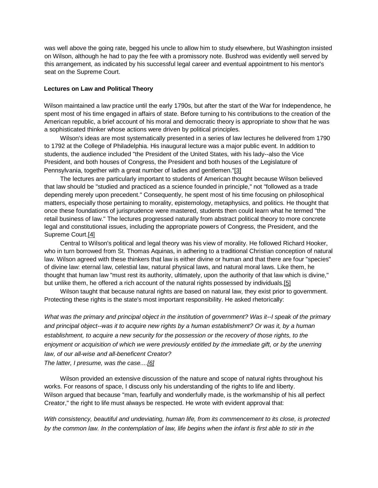was well above the going rate, begged his uncle to allow him to study elsewhere, but Washington insisted on Wilson, although he had to pay the fee with a promissory note. Bushrod was evidently well served by this arrangement, as indicated by his successful legal career and eventual appointment to his mentor's seat on the Supreme Court.

#### **Lectures on Law and Political Theory**

Wilson maintained a law practice until the early 1790s, but after the start of the War for Independence, he spent most of his time engaged in affairs of state. Before turning to his contributions to the creation of the American republic, a brief account of his moral and democratic theory is appropriate to show that he was a sophisticated thinker whose actions were driven by political principles.

Wilson's ideas are most systematically presented in a series of law lectures he delivered from 1790 to 1792 at the College of Philadelphia. His inaugural lecture was a major public event. In addition to students, the audience included "the President of the United States, with his lady--also the Vice President, and both houses of Congress, the President and both houses of the Legislature of Pennsylvania, together with a great number of ladies and gentlemen."[3]

The lectures are particularly important to students of American thought because Wilson believed that law should be "studied and practiced as a science founded in principle," not "followed as a trade depending merely upon precedent." Consequently, he spent most of his time focusing on philosophical matters, especially those pertaining to morality, epistemology, metaphysics, and politics. He thought that once these foundations of jurisprudence were mastered, students then could learn what he termed "the retail business of law." The lectures progressed naturally from abstract political theory to more concrete legal and constitutional issues, including the appropriate powers of Congress, the President, and the Supreme Court.<sup>[4]</sup>

Central to Wilson's political and legal theory was his view of morality. He followed Richard Hooker, who in turn borrowed from St. Thomas Aquinas, in adhering to a traditional Christian conception of natural law. Wilson agreed with these thinkers that law is either divine or human and that there are four "species" of divine law: eternal law, celestial law, natural physical laws, and natural moral laws. Like them, he thought that human law "must rest its authority, ultimately, upon the authority of that law which is divine," but unlike them, he offered a rich account of the natural rights possessed by individuals.[5]

Wilson taught that because natural rights are based on natural law, they exist prior to government. Protecting these rights is the state's most important responsibility. He asked rhetorically:

*What was the primary and principal object in the institution of government? Was it--I speak of the primary and principal object--was it to acquire new rights by a human establishment? Or was it, by a human*  establishment, to acquire a new security for the possession or the recovery of those rights, to the *enjoyment or acquisition of which we were previously entitled by the immediate gift, or by the unerring law, of our all-wise and all-beneficent Creator?* 

*The latter, I presume, was the case....[6]*

Wilson provided an extensive discussion of the nature and scope of natural rights throughout his works. For reasons of space, I discuss only his understanding of the rights to life and liberty. Wilson argued that because "man, fearfully and wonderfully made, is the workmanship of his all perfect Creator," the right to life must always be respected. He wrote with evident approval that:

*With consistency, beautiful and undeviating, human life, from its commencement to its close, is protected by the common law. In the contemplation of law, life begins when the infant is first able to stir in the*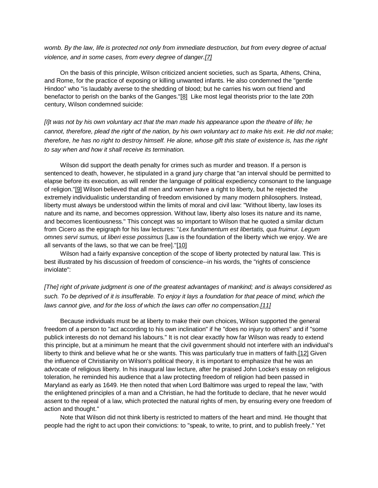*womb. By the law, life is protected not only from immediate destruction, but from every degree of actual violence, and in some cases, from every degree of danger.[7]*

On the basis of this principle, Wilson criticized ancient societies, such as Sparta, Athens, China, and Rome, for the practice of exposing or killing unwanted infants. He also condemned the "gentle Hindoo" who "is laudably averse to the shedding of blood; but he carries his worn out friend and benefactor to perish on the banks of the Ganges."[8] Like most legal theorists prior to the late 20th century, Wilson condemned suicide:

*[I]t was not by his own voluntary act that the man made his appearance upon the theatre of life; he cannot, therefore, plead the right of the nation, by his own voluntary act to make his exit. He did not make; therefore, he has no right to destroy himself. He alone, whose gift this state of existence is, has the right to say when and how it shall receive its termination.* 

Wilson did support the death penalty for crimes such as murder and treason. If a person is sentenced to death, however, he stipulated in a grand jury charge that "an interval should be permitted to elapse before its execution, as will render the language of political expediency consonant to the language of religion."[9] Wilson believed that all men and women have a right to liberty, but he rejected the extremely individualistic understanding of freedom envisioned by many modern philosophers. Instead, liberty must always be understood within the limits of moral and civil law: "Without liberty, law loses its nature and its name, and becomes oppression. Without law, liberty also loses its nature and its name, and becomes licentiousness." This concept was so important to Wilson that he quoted a similar dictum from Cicero as the epigraph for his law lectures: "*Lex fundamentum est libertatis, qua fruimur. Legum omnes servi sumus, ut liberi esse possimus* [Law is the foundation of the liberty which we enjoy. We are all servants of the laws, so that we can be free]."[10]

Wilson had a fairly expansive conception of the scope of liberty protected by natural law. This is best illustrated by his discussion of freedom of conscience--in his words, the "rights of conscience inviolate":

### *[The] right of private judgment is one of the greatest advantages of mankind; and is always considered as such. To be deprived of it is insufferable. To enjoy it lays a foundation for that peace of mind, which the laws cannot give, and for the loss of which the laws can offer no compensation.[11]*

Because individuals must be at liberty to make their own choices, Wilson supported the general freedom of a person to "act according to his own inclination" if he "does no injury to others" and if "some publick interests do not demand his labours." It is not clear exactly how far Wilson was ready to extend this principle, but at a minimum he meant that the civil government should not interfere with an individual's liberty to think and believe what he or she wants. This was particularly true in matters of faith.[12] Given the influence of Christianity on Wilson's political theory, it is important to emphasize that he was an advocate of religious liberty. In his inaugural law lecture, after he praised John Locke's essay on religious toleration, he reminded his audience that a law protecting freedom of religion had been passed in Maryland as early as 1649. He then noted that when Lord Baltimore was urged to repeal the law, "with the enlightened principles of a man and a Christian, he had the fortitude to declare, that he never would assent to the repeal of a law, which protected the natural rights of men, by ensuring every one freedom of action and thought."

Note that Wilson did not think liberty is restricted to matters of the heart and mind. He thought that people had the right to act upon their convictions: to "speak, to write, to print, and to publish freely." Yet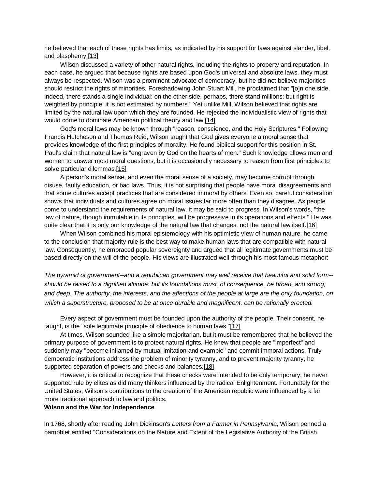he believed that each of these rights has limits, as indicated by his support for laws against slander, libel, and blasphemy.[13]

Wilson discussed a variety of other natural rights, including the rights to property and reputation. In each case, he argued that because rights are based upon God's universal and absolute laws, they must always be respected. Wilson was a prominent advocate of democracy, but he did not believe majorities should restrict the rights of minorities. Foreshadowing John Stuart Mill, he proclaimed that "[o]n one side, indeed, there stands a single individual: on the other side, perhaps, there stand millions: but right is weighted by principle; it is not estimated by numbers." Yet unlike Mill, Wilson believed that rights are limited by the natural law upon which they are founded. He rejected the individualistic view of rights that would come to dominate American political theory and law.[14]

God's moral laws may be known through "reason, conscience, and the Holy Scriptures." Following Francis Hutcheson and Thomas Reid, Wilson taught that God gives everyone a moral sense that provides knowledge of the first principles of morality. He found biblical support for this position in St. Paul's claim that natural law is "engraven by God on the hearts of men." Such knowledge allows men and women to answer most moral questions, but it is occasionally necessary to reason from first principles to solve particular dilemmas.[15]

A person's moral sense, and even the moral sense of a society, may become corrupt through disuse, faulty education, or bad laws. Thus, it is not surprising that people have moral disagreements and that some cultures accept practices that are considered immoral by others. Even so, careful consideration shows that individuals and cultures agree on moral issues far more often than they disagree. As people come to understand the requirements of natural law, it may be said to progress. In Wilson's words, "the law of nature, though immutable in its principles, will be progressive in its operations and effects." He was quite clear that it is only our knowledge of the natural law that changes, not the natural law itself.[16]

When Wilson combined his moral epistemology with his optimistic view of human nature, he came to the conclusion that majority rule is the best way to make human laws that are compatible with natural law. Consequently, he embraced popular sovereignty and argued that all legitimate governments must be based directly on the will of the people. His views are illustrated well through his most famous metaphor:

*The pyramid of government--and a republican government may well receive that beautiful and solid form- should be raised to a dignified altitude: but its foundations must, of consequence, be broad, and strong, and deep. The authority, the interests, and the affections of the people at large are the only foundation, on which a superstructure, proposed to be at once durable and magnificent, can be rationally erected.* 

Every aspect of government must be founded upon the authority of the people. Their consent, he taught, is the "sole legitimate principle of obedience to human laws."[17]

At times, Wilson sounded like a simple majoritarian, but it must be remembered that he believed the primary purpose of government is to protect natural rights. He knew that people are "imperfect" and suddenly may "become inflamed by mutual imitation and example" and commit immoral actions. Truly democratic institutions address the problem of minority tyranny, and to prevent majority tyranny, he supported separation of powers and checks and balances.[18]

However, it is critical to recognize that these checks were intended to be only temporary; he never supported rule by elites as did many thinkers influenced by the radical Enlightenment. Fortunately for the United States, Wilson's contributions to the creation of the American republic were influenced by a far more traditional approach to law and politics.

#### **Wilson and the War for Independence**

In 1768, shortly after reading John Dickinson's *Letters from a Farmer in Pennsylvania*, Wilson penned a pamphlet entitled "Considerations on the Nature and Extent of the Legislative Authority of the British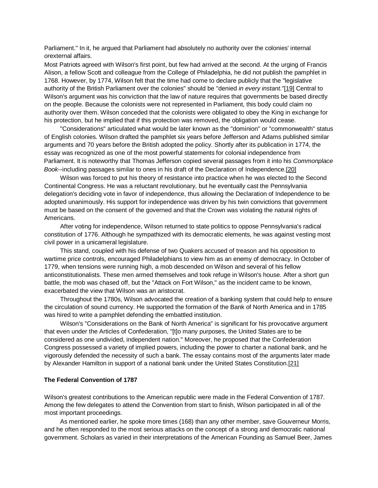Parliament." In it, he argued that Parliament had absolutely no authority over the colonies' internal *or*external affairs.

Most Patriots agreed with Wilson's first point, but few had arrived at the second. At the urging of Francis Alison, a fellow Scott and colleague from the College of Philadelphia, he did not publish the pamphlet in 1768. However, by 1774, Wilson felt that the time had come to declare publicly that the "legislative authority of the British Parliament over the colonies" should be "denied *in every instant*."[19] Central to Wilson's argument was his conviction that the law of nature requires that governments be based directly on the people. Because the colonists were not represented in Parliament, this body could claim no authority over them. Wilson conceded that the colonists were obligated to obey the King in exchange for his protection, but he implied that if this protection was removed, the obligation would cease.

"Considerations" articulated what would be later known as the "dominion" or "commonwealth" status of English colonies. Wilson drafted the pamphlet six years before Jefferson and Adams published similar arguments and 70 years before the British adopted the policy. Shortly after its publication in 1774, the essay was recognized as one of the most powerful statements for colonial independence from Parliament. It is noteworthy that Thomas Jefferson copied several passages from it into his *Commonplace Book*--including passages similar to ones in his draft of the Declaration of Independence.[20]

Wilson was forced to put his theory of resistance into practice when he was elected to the Second Continental Congress. He was a reluctant revolutionary, but he eventually cast the Pennsylvania delegation's deciding vote in favor of independence, thus allowing the Declaration of Independence to be adopted unanimously. His support for independence was driven by his twin convictions that government must be based on the consent of the governed and that the Crown was violating the natural rights of Americans.

After voting for independence, Wilson returned to state politics to oppose Pennsylvania's radical constitution of 1776. Although he sympathized with its democratic elements, he was against vesting most civil power in a unicameral legislature.

This stand, coupled with his defense of two Quakers accused of treason and his opposition to wartime price controls, encouraged Philadelphians to view him as an enemy of democracy. In October of 1779, when tensions were running high, a mob descended on Wilson and several of his fellow anticonstitutionalists. These men armed themselves and took refuge in Wilson's house. After a short gun battle, the mob was chased off, but the "Attack on Fort Wilson," as the incident came to be known, exacerbated the view that Wilson was an aristocrat.

Throughout the 1780s, Wilson advocated the creation of a banking system that could help to ensure the circulation of sound currency. He supported the formation of the Bank of North America and in 1785 was hired to write a pamphlet defending the embattled institution.

Wilson's "Considerations on the Bank of North America" is significant for his provocative argument that even under the Articles of Confederation, "[t]o many purposes, the United States are to be considered as one undivided, independent nation." Moreover, he proposed that the Confederation Congress possessed a variety of implied powers, including the power to charter a national bank, and he vigorously defended the necessity of such a bank. The essay contains most of the arguments later made by Alexander Hamilton in support of a national bank under the United States Constitution.[21]

#### **The Federal Convention of 1787**

Wilson's greatest contributions to the American republic were made in the Federal Convention of 1787. Among the few delegates to attend the Convention from start to finish, Wilson participated in all of the most important proceedings.

As mentioned earlier, he spoke more times (168) than any other member, save Gouverneur Morris, and he often responded to the most serious attacks on the concept of a strong and democratic national government. Scholars as varied in their interpretations of the American Founding as Samuel Beer, James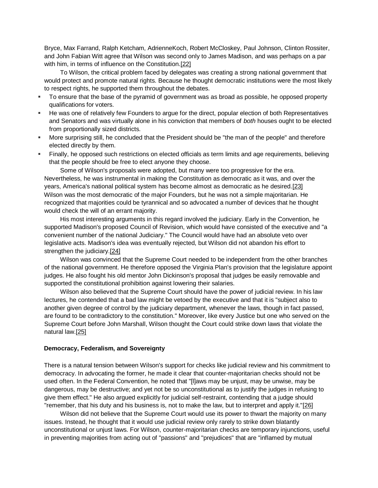Bryce, Max Farrand, Ralph Ketcham, AdrienneKoch, Robert McCloskey, Paul Johnson, Clinton Rossiter, and John Fabian Witt agree that Wilson was second only to James Madison, and was perhaps on a par with him, in terms of influence on the Constitution.[22]

To Wilson, the critical problem faced by delegates was creating a strong national government that would protect and promote natural rights. Because he thought democratic institutions were the most likely to respect rights, he supported them throughout the debates.

- To ensure that the base of the pyramid of government was as broad as possible, he opposed property qualifications for voters.
- He was one of relatively few Founders to argue for the direct, popular election of both Representatives and Senators and was virtually alone in his conviction that members of *both* houses ought to be elected from proportionally sized districts.
- More surprising still, he concluded that the President should be "the man of the people" and therefore elected directly by them.
- Finally, he opposed such restrictions on elected officials as term limits and age requirements, believing that the people should be free to elect anyone they choose.

Some of Wilson's proposals were adopted, but many were too progressive for the era. Nevertheless, he was instrumental in making the Constitution as democratic as it was, and over the years, America's national political system has become almost as democratic as he desired.[23] Wilson was the most democratic of the major Founders, but he was not a simple majoritarian. He recognized that majorities could be tyrannical and so advocated a number of devices that he thought would check the will of an errant majority.

His most interesting arguments in this regard involved the judiciary. Early in the Convention, he supported Madison's proposed Council of Revision, which would have consisted of the executive and "a convenient number of the national Judiciary." The Council would have had an absolute veto over legislative acts. Madison's idea was eventually rejected, but Wilson did not abandon his effort to strengthen the judiciary.[24]

Wilson was convinced that the Supreme Court needed to be independent from the other branches of the national government. He therefore opposed the Virginia Plan's provision that the legislature appoint judges. He also fought his old mentor John Dickinson's proposal that judges be easily removable and supported the constitutional prohibition against lowering their salaries.

Wilson also believed that the Supreme Court should have the power of judicial review. In his law lectures, he contended that a bad law might be vetoed by the executive and that it is "subject also to another given degree of control by the judiciary department, whenever the laws, though in fact passed, are found to be contradictory to the constitution." Moreover, like every Justice but one who served on the Supreme Court before John Marshall, Wilson thought the Court could strike down laws that violate the natural law.[25]

#### **Democracy, Federalism, and Sovereignty**

There is a natural tension between Wilson's support for checks like judicial review and his commitment to democracy. In advocating the former, he made it clear that counter-majoritarian checks should not be used often. In the Federal Convention, he noted that "[l]aws may be unjust, may be unwise, may be dangerous, may be destructive; and yet not be so unconstitutional as to justify the judges in refusing to give them effect." He also argued explicitly for judicial self-restraint, contending that a judge should "remember, that his duty and his business is, not to make the law, but to interpret and apply it."[26]

Wilson did not believe that the Supreme Court would use its power to thwart the majority on many issues. Instead, he thought that it would use judicial review only rarely to strike down blatantly unconstitutional or unjust laws. For Wilson, counter-majoritarian checks are temporary injunctions, useful in preventing majorities from acting out of "passions" and "prejudices" that are "inflamed by mutual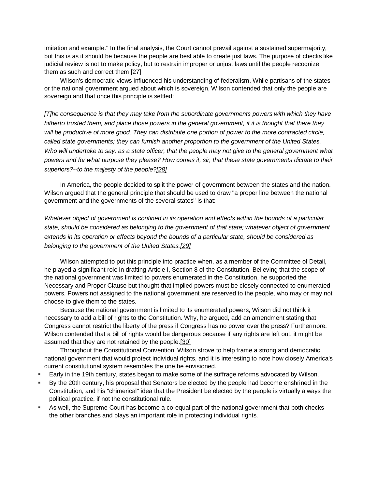imitation and example." In the final analysis, the Court cannot prevail against a sustained supermajority, but this is as it should be because the people are best able to create just laws. The purpose of checks like judicial review is not to make policy, but to restrain improper or unjust laws until the people recognize them as such and correct them.[27]

Wilson's democratic views influenced his understanding of federalism. While partisans of the states or the national government argued about which is sovereign, Wilson contended that only the people are sovereign and that once this principle is settled:

*[T]he consequence is that they may take from the subordinate governments powers with which they have hitherto trusted them, and place those powers in the general government, if it is thought that there they will be productive of more good. They can distribute one portion of power to the more contracted circle, called state governments; they can furnish another proportion to the government of the United States. Who will undertake to say, as a state officer, that the people may not give to the general government what powers and for what purpose they please? How comes it, sir, that these state governments dictate to their superiors?--to the majesty of the people?[28]*

In America, the people decided to split the power of government between the states and the nation. Wilson argued that the general principle that should be used to draw "a proper line between the national government and the governments of the several states" is that:

*Whatever object of government is confined in its operation and effects within the bounds of a particular state, should be considered as belonging to the government of that state; whatever object of government extends in its operation or effects beyond the bounds of a particular state, should be considered as belonging to the government of the United States.[29]*

Wilson attempted to put this principle into practice when, as a member of the Committee of Detail, he played a significant role in drafting Article I, Section 8 of the Constitution. Believing that the scope of the national government was limited to powers enumerated in the Constitution, he supported the Necessary and Proper Clause but thought that implied powers must be closely connected to enumerated powers. Powers not assigned to the national government are reserved to the people, who may or may not choose to give them to the states.

Because the national government is limited to its enumerated powers, Wilson did not think it necessary to add a bill of rights to the Constitution. Why, he argued, add an amendment stating that Congress cannot restrict the liberty of the press if Congress has no power over the press? Furthermore, Wilson contended that a bill of rights would be dangerous because if any rights are left out, it might be assumed that they are not retained by the people.[30]

Throughout the Constitutional Convention, Wilson strove to help frame a strong and democratic national government that would protect individual rights, and it is interesting to note how closely America's current constitutional system resembles the one he envisioned.

- Early in the 19th century, states began to make some of the suffrage reforms advocated by Wilson.
- By the 20th century, his proposal that Senators be elected by the people had become enshrined in the Constitution, and his "chimerical" idea that the President be elected by the people is virtually always the political practice, if not the constitutional rule.
- As well, the Supreme Court has become a co-equal part of the national government that both checks the other branches and plays an important role in protecting individual rights.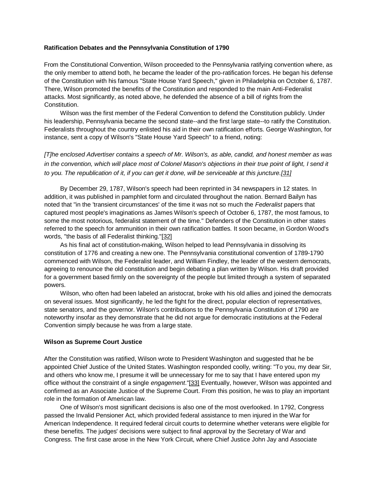#### **Ratification Debates and the Pennsylvania Constitution of 1790**

From the Constitutional Convention, Wilson proceeded to the Pennsylvania ratifying convention where, as the only member to attend both, he became the leader of the pro-ratification forces. He began his defense of the Constitution with his famous "State House Yard Speech," given in Philadelphia on October 6, 1787. There, Wilson promoted the benefits of the Constitution and responded to the main Anti-Federalist attacks. Most significantly, as noted above, he defended the absence of a bill of rights from the **Constitution** 

Wilson was the first member of the Federal Convention to defend the Constitution publicly. Under his leadership, Pennsylvania became the second state--and the first large state--to ratify the Constitution. Federalists throughout the country enlisted his aid in their own ratification efforts. George Washington, for instance, sent a copy of Wilson's "State House Yard Speech" to a friend, noting:

*[T]he enclosed Advertiser contains a speech of Mr. Wilson's, as able, candid, and honest member as was*  in the convention, which will place most of Colonel Mason's objections in their true point of light, I send it *to you. The republication of it, if you can get it done, will be serviceable at this juncture.[31]*

By December 29, 1787, Wilson's speech had been reprinted in 34 newspapers in 12 states. In addition, it was published in pamphlet form and circulated throughout the nation. Bernard Bailyn has noted that "in the 'transient circumstances' of the time it was not so much the *Federalist* papers that captured most people's imaginations as James Wilson's speech of October 6, 1787, the most famous, to some the most notorious, federalist statement of the time." Defenders of the Constitution in other states referred to the speech for ammunition in their own ratification battles. It soon became, in Gordon Wood's words, "the basis of all Federalist thinking."[32]

As his final act of constitution-making, Wilson helped to lead Pennsylvania in dissolving its constitution of 1776 and creating a new one. The Pennsylvania constitutional convention of 1789-1790 commenced with Wilson, the Federalist leader, and William Findley, the leader of the western democrats, agreeing to renounce the old constitution and begin debating a plan written by Wilson. His draft provided for a government based firmly on the sovereignty of the people but limited through a system of separated powers.

Wilson, who often had been labeled an aristocrat, broke with his old allies and joined the democrats on several issues. Most significantly, he led the fight for the direct, popular election of representatives, state senators, and the governor. Wilson's contributions to the Pennsylvania Constitution of 1790 are noteworthy insofar as they demonstrate that he did not argue for democratic institutions at the Federal Convention simply because he was from a large state.

#### **Wilson as Supreme Court Justice**

After the Constitution was ratified, Wilson wrote to President Washington and suggested that he be appointed Chief Justice of the United States. Washington responded coolly, writing: "To you, my dear Sir, and others who know me, I presume it will be unnecessary for me to say that I have entered upon my office without the constraint of a single *engagement*."[33] Eventually, however, Wilson was appointed and confirmed as an Associate Justice of the Supreme Court. From this position, he was to play an important role in the formation of American law.

One of Wilson's most significant decisions is also one of the most overlooked. In 1792, Congress passed the Invalid Pensioner Act, which provided federal assistance to men injured in the War for American Independence. It required federal circuit courts to determine whether veterans were eligible for these benefits. The judges' decisions were subject to final approval by the Secretary of War and Congress. The first case arose in the New York Circuit, where Chief Justice John Jay and Associate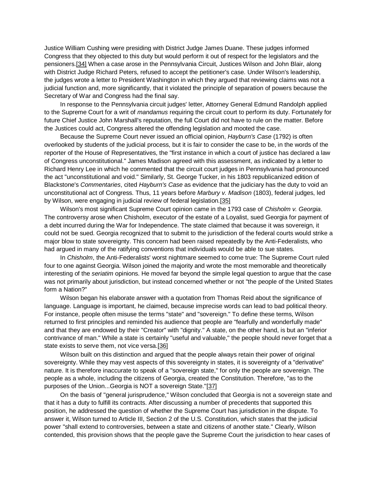Justice William Cushing were presiding with District Judge James Duane. These judges informed Congress that they objected to this duty but would perform it out of respect for the legislators and the pensioners.[34] When a case arose in the Pennsylvania Circuit, Justices Wilson and John Blair, along with District Judge Richard Peters, refused to accept the petitioner's case. Under Wilson's leadership, the judges wrote a letter to President Washington in which they argued that reviewing claims was not a judicial function and, more significantly, that it violated the principle of separation of powers because the Secretary of War and Congress had the final say.

In response to the Pennsylvania circuit judges' letter, Attorney General Edmund Randolph applied to the Supreme Court for a writ of *mandamus* requiring the circuit court to perform its duty. Fortunately for future Chief Justice John Marshall's reputation, the full Court did not have to rule on the matter. Before the Justices could act, Congress altered the offending legislation and mooted the case.

Because the Supreme Court never issued an official opinion, *Hayburn's Case* (1792) is often overlooked by students of the judicial process, but it is fair to consider the case to be, in the words of the reporter of the House of Representatives, the "first instance in which a court of justice has declared a law of Congress unconstitutional." James Madison agreed with this assessment, as indicated by a letter to Richard Henry Lee in which he commented that the circuit court judges in Pennsylvania had pronounced the act "unconstitutional and void." Similarly, St. George Tucker, in his 1803 republicanized edition of Blackstone's *Commentaries*, cited *Hayburn's Case* as evidence that the judiciary has the duty to void an unconstitutional act of Congress. Thus, 11 years before *Marbury v. Madison* (1803), federal judges, led by Wilson, were engaging in judicial review of federal legislation.[35]

Wilson's most significant Supreme Court opinion came in the 1793 case of *Chisholm v. Georgia*. The controversy arose when Chisholm, executor of the estate of a Loyalist, sued Georgia for payment of a debt incurred during the War for Independence. The state claimed that because it was sovereign, it could not be sued. Georgia recognized that to submit to the jurisdiction of the federal courts would strike a major blow to state sovereignty. This concern had been raised repeatedly by the Anti-Federalists, who had argued in many of the ratifying conventions that individuals would be able to sue states.

In *Chisholm*, the Anti-Federalists' worst nightmare seemed to come true: The Supreme Court ruled four to one against Georgia. Wilson joined the majority and wrote the most memorable and theoretically interesting of the *seriatim* opinions. He moved far beyond the simple legal question to argue that the case was not primarily about jurisdiction, but instead concerned whether or not "the people of the United States form a Nation?"

Wilson began his elaborate answer with a quotation from Thomas Reid about the significance of language. Language is important, he claimed, because imprecise words can lead to bad political theory. For instance, people often misuse the terms "state" and "sovereign." To define these terms, Wilson returned to first principles and reminded his audience that people are "fearfully and wonderfully made" and that they are endowed by their "Creator" with "dignity." A state, on the other hand, is but an "inferior contrivance of man." While a state is certainly "useful and valuable," the people should never forget that a state exists to serve them, not vice versa.[36]

Wilson built on this distinction and argued that the people always retain their power of original sovereignty. While they may vest aspects of this sovereignty in states, it is sovereignty of a "derivative" nature. It is therefore inaccurate to speak of a "sovereign state," for only the people are sovereign. The people as a whole, including the citizens of Georgia, created the Constitution. Therefore, "as to the purposes of the Union...Georgia is NOT a sovereign State."[37]

On the basis of "general jurisprudence," Wilson concluded that Georgia is not a sovereign state and that it has a duty to fulfill its contracts. After discussing a number of precedents that supported this position, he addressed the question of whether the Supreme Court has jurisdiction in the dispute. To answer it, Wilson turned to Article III, Section 2 of the U.S. Constitution, which states that the judicial power "shall extend to controversies, between a state and citizens of another state." Clearly, Wilson contended, this provision shows that the people gave the Supreme Court the jurisdiction to hear cases of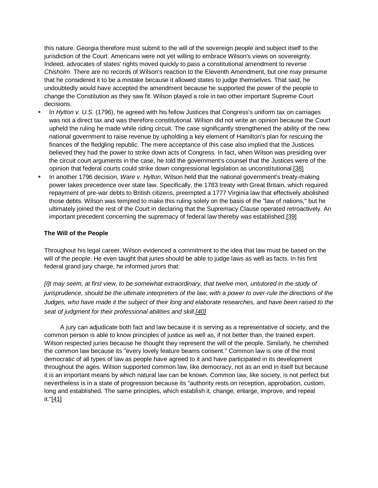this nature. Georgia therefore must submit to the will of the sovereign people and subject itself to the jurisdiction of the Court. Americans were not yet willing to embrace Wilson's views on sovereignty. Indeed, advocates of states' rights moved quickly to pass a constitutional amendment to reverse *Chisholm*. There are no records of Wilson's reaction to the Eleventh Amendment, but one may presume that he considered it to be a mistake because it allowed states to judge themselves. That said, he undoubtedly would have accepted the amendment because he supported the power of the people to change the Constitution as they saw fit. Wilson played a role in two other important Supreme Court decisions.

- In *Hylton v. U.S.* (1796), he agreed with his fellow Justices that Congress's uniform tax on carriages was not a direct tax and was therefore constitutional. Wilson did not write an opinion because the Court upheld the ruling he made while riding circuit. The case significantly strengthened the ability of the new national government to raise revenue by upholding a key element of Hamilton's plan for rescuing the finances of the fledgling republic. The mere acceptance of this case also implied that the Justices believed they had the power to strike down acts of Congress. In fact, when Wilson was presiding over the circuit court arguments in the case, he told the government's counsel that the Justices were of the opinion that federal courts could strike down congressional legislation as unconstitutional.[38]
- In another 1796 decision, *Ware v. Hylton*, Wilson held that the national government's treaty-making power takes precedence over state law. Specifically, the 1783 treaty with Great Britain, which required repayment of pre-war debts to British citizens, preempted a 1777 Virginia law that effectively abolished those debts. Wilson was tempted to make this ruling solely on the basis of the "law of nations," but he ultimately joined the rest of the Court in declaring that the Supremacy Clause operated retroactively. An important precedent concerning the supremacy of federal law thereby was established.[39]

#### **The Will of the People**

Throughout his legal career, Wilson evidenced a commitment to the idea that law must be based on the will of the people. He even taught that juries should be able to judge laws as well as facts. In his first federal grand jury charge, he informed jurors that:

*[I]t may seem, at first view, to be somewhat extraordinary, that twelve men, untutored in the study of jurisprudence, should be the ultimate interpreters of the law, with a power to over-rule the directions of the Judges, who have made it the subject of their long and elaborate researches, and have been raised to the seat of judgment for their professional abilities and skill.[40]*

A jury can adjudicate both fact and law because it is serving as a representative of society, and the common person is able to know principles of justice as well as, if not better than, the trained expert. Wilson respected juries because he thought they represent the will of the people. Similarly, he cherished the common law because its "every lovely feature beams consent." Common law is one of the most democratic of all types of law as people have agreed to it and have participated in its development throughout the ages. Wilson supported common law, like democracy, not as an end in itself but because it is an important means by which natural law can be known. Common law, like society, is not perfect but nevertheless is in a state of progression because its "authority rests on reception, approbation, custom, long and established. The same principles, which establish it, change, enlarge, improve, and repeal it."[41]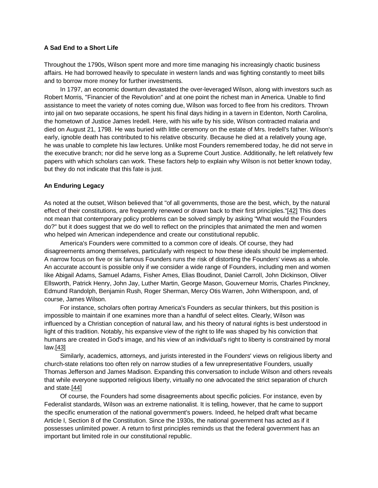#### **A Sad End to a Short Life**

Throughout the 1790s, Wilson spent more and more time managing his increasingly chaotic business affairs. He had borrowed heavily to speculate in western lands and was fighting constantly to meet bills and to borrow more money for further investments.

In 1797, an economic downturn devastated the over-leveraged Wilson, along with investors such as Robert Morris, "Financier of the Revolution" and at one point the richest man in America. Unable to find assistance to meet the variety of notes coming due, Wilson was forced to flee from his creditors. Thrown into jail on two separate occasions, he spent his final days hiding in a tavern in Edenton, North Carolina, the hometown of Justice James Iredell. Here, with his wife by his side, Wilson contracted malaria and died on August 21, 1798. He was buried with little ceremony on the estate of Mrs. Iredell's father. Wilson's early, ignoble death has contributed to his relative obscurity. Because he died at a relatively young age, he was unable to complete his law lectures. Unlike most Founders remembered today, he did not serve in the executive branch; nor did he serve long as a Supreme Court Justice. Additionally, he left relatively few papers with which scholars can work. These factors help to explain why Wilson is not better known today, but they do not indicate that this fate is just.

#### **An Enduring Legacy**

As noted at the outset, Wilson believed that "of all governments, those are the best, which, by the natural effect of their constitutions, are frequently renewed or drawn back to their first principles."[42] This does not mean that contemporary policy problems can be solved simply by asking "What would the Founders do?" but it does suggest that we do well to reflect on the principles that animated the men and women who helped win American independence and create our constitutional republic.

America's Founders were committed to a common core of ideals. Of course, they had disagreements among themselves, particularly with respect to how these ideals should be implemented. A narrow focus on five or six famous Founders runs the risk of distorting the Founders' views as a whole. An accurate account is possible only if we consider a wide range of Founders, including men and women like Abigail Adams, Samuel Adams, Fisher Ames, Elias Boudinot, Daniel Carroll, John Dickinson, Oliver Ellsworth, Patrick Henry, John Jay, Luther Martin, George Mason, Gouverneur Morris, Charles Pinckney, Edmund Randolph, Benjamin Rush, Roger Sherman, Mercy Otis Warren, John Witherspoon, and, of course, James Wilson.

For instance, scholars often portray America's Founders as secular thinkers, but this position is impossible to maintain if one examines more than a handful of select elites. Clearly, Wilson was influenced by a Christian conception of natural law, and his theory of natural rights is best understood in light of this tradition. Notably, his expansive view of the right to life was shaped by his conviction that humans are created in God's image, and his view of an individual's right to liberty is constrained by moral law.[43]

Similarly, academics, attorneys, and jurists interested in the Founders' views on religious liberty and church-state relations too often rely on narrow studies of a few unrepresentative Founders, usually Thomas Jefferson and James Madison. Expanding this conversation to include Wilson and others reveals that while everyone supported religious liberty, virtually no one advocated the strict separation of church and state.[44]

Of course, the Founders had some disagreements about specific policies. For instance, even by Federalist standards, Wilson was an extreme nationalist. It is telling, however, that he came to support the specific enumeration of the national government's powers. Indeed, he helped draft what became Article I, Section 8 of the Constitution. Since the 1930s, the national government has acted as if it possesses unlimited power. A return to first principles reminds us that the federal government has an important but limited role in our constitutional republic.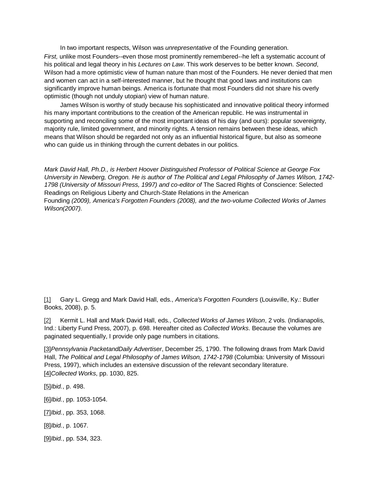In two important respects, Wilson was *unrepresentative* of the Founding generation. *First,* unlike most Founders--even those most prominently remembered--he left a systematic account of his political and legal theory in his *Lectures on Law*. This work deserves to be better known. *Second*, Wilson had a more optimistic view of human nature than most of the Founders. He never denied that men and women can act in a self-interested manner, but he thought that good laws and institutions can significantly improve human beings. America is fortunate that most Founders did not share his overly optimistic (though not unduly utopian) view of human nature.

James Wilson is worthy of study because his sophisticated and innovative political theory informed his many important contributions to the creation of the American republic. He was instrumental in supporting and reconciling some of the most important ideas of his day (and ours): popular sovereignty, majority rule, limited government, and minority rights. A tension remains between these ideas, which means that Wilson should be regarded not only as an influential historical figure, but also as someone who can guide us in thinking through the current debates in our politics.

*Mark David Hall, Ph.D., is Herbert Hoover Distinguished Professor of Political Science at George Fox University in Newberg, Oregon. He is author of The Political and Legal Philosophy of James Wilson, 1742- 1798 (University of Missouri Press, 1997) and co-editor of* The Sacred Rights of Conscience: Selected Readings on Religious Liberty and Church-State Relations in the American Founding *(2009), America's Forgotten Founders (2008), and the two-volume Collected Works of James Wilson(2007).*

[1] Gary L. Gregg and Mark David Hall, eds., *America's Forgotten Founders* (Louisville, Ky.: Butler Books, 2008), p. 5.

[2] Kermit L. Hall and Mark David Hall, eds., *Collected Works of James Wilson*, 2 vols. (Indianapolis, Ind.: Liberty Fund Press, 2007), p. 698. Hereafter cited as *Collected Works*. Because the volumes are paginated sequentially, I provide only page numbers in citations.

[3]*Pennsylvania PacketandDaily Advertiser*, December 25, 1790. The following draws from Mark David Hall, *The Political and Legal Philosophy of James Wilson, 1742-1798* (Columbia: University of Missouri Press, 1997), which includes an extensive discussion of the relevant secondary literature. [4]*Collected Works*, pp. 1030, 825.

[5]*Ibid.*, p. 498.

[6]*Ibid.*, pp. 1053-1054.

[7]*Ibid.*, pp. 353, 1068.

[8]*Ibid.*, p. 1067.

[9]*Ibid.*, pp. 534, 323.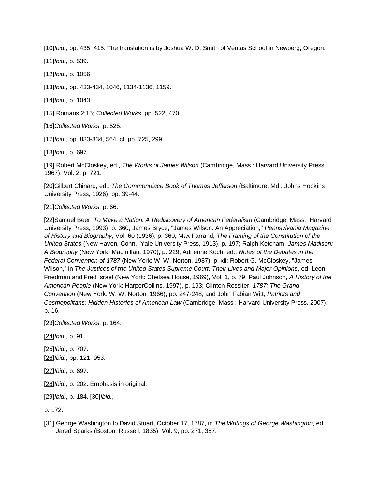[10]*Ibid.*, pp. 435, 415. The translation is by Joshua W. D. Smith of Veritas School in Newberg, Oregon.

[11]*Ibid.*, p. 539.

[12]*Ibid.*, p. 1056.

[13]*Ibid.*, pp. 433-434, 1046, 1134-1136, 1159.

[14]*Ibid.*, p. 1043.

[15] Romans 2:15; *Collected Works*, pp. 522, 470.

[16]*Collected Works*, p. 525.

[17]*Ibid.*, pp. 833-834, 564; cf. pp. 725, 299.

[18]*Ibid.*, p. 697.

[19] Robert McCloskey, ed., *The Works of James Wilson* (Cambridge, Mass.: Harvard University Press, 1967), Vol. 2, p. 721.

[20]Gilbert Chinard, ed., *The Commonplace Book of Thomas Jefferson* (Baltimore, Md.: Johns Hopkins University Press, 1926), pp. 39-44.

[21]*Collected Works*, p. 66.

[22]Samuel Beer, *To Make a Nation: A Rediscovery of American Federalism* (Cambridge, Mass.: Harvard University Press, 1993), p. 360; James Bryce, "James Wilson: An Appreciation," *Pennsylvania Magazine of History and Biography*, Vol. 60 (1936), p. 360; Max Farrand, *The Framing of the Constitution of the United States* (New Haven, Conn.: Yale University Press, 1913), p. 197; Ralph Ketcham, *James Madison: A Biography* (New York: Macmillan, 1970), p. 229; Adrienne Koch, ed., *Notes of the Debates in the Federal Convention of 1787* (New York: W. W. Norton, 1987), p. xii; Robert G. McCloskey, "James Wilson," in *The Justices of the United States Supreme Court: Their Lives and Major Opinions*, ed. Leon Friedman and Fred Israel (New York: Chelsea House, 1969), Vol. 1, p. 79; Paul Johnson, *A History of the American People* (New York: HarperCollins, 1997), p. 193; Clinton Rossiter, *1787: The Grand Convention* (New York: W. W. Norton, 1966), pp. 247-248; and John Fabian Witt, *Patriots and Cosmopolitans: Hidden Histories of American Law* (Cambridge, Mass.: Harvard University Press, 2007), p. 16.

[23]*Collected Works*, p. 164.

[24]*Ibid.*, p. 91.

[25]*Ibid.*, p. 707. [26]*Ibid.*, pp. 121, 953.

[27]*Ibid.*, p. 697.

[28]*Ibid.*, p. 202. Emphasis in original.

[29]*Ibid.*, p. 184. [30]*Ibid.*,

p. 172.

[31] George Washington to David Stuart, October 17, 1787, in *The Writings of George Washington*, ed. Jared Sparks (Boston: Russell, 1835), Vol. 9, pp. 271, 357.